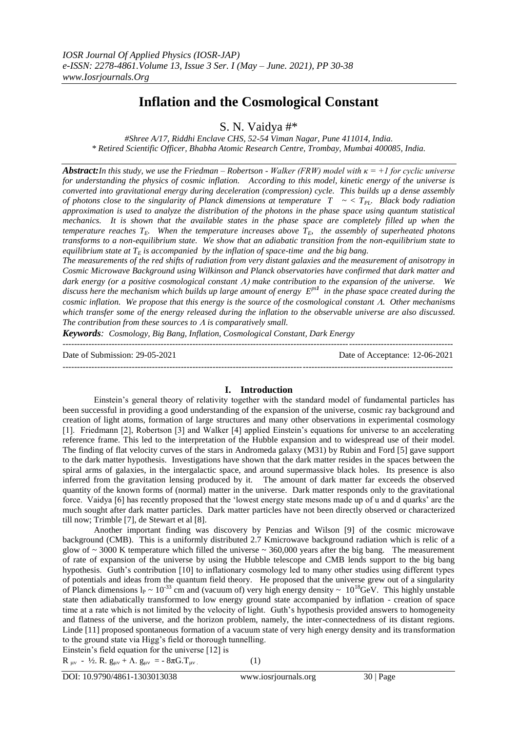# **Inflation and the Cosmological Constant**

S. N. Vaidya #\*

*#Shree A/17, Riddhi Enclave CHS, 52-54 Viman Nagar, Pune 411014, India. \* Retired Scientific Officer, Bhabha Atomic Research Centre, Trombay, Mumbai 400085, India.*

*Abstract:In this study, we use the Friedman – Robertson - Walker (FRW) model with κ = +1 for cyclic universe for understanding the physics of cosmic inflation. According to this model, kinetic energy of the universe is converted into gravitational energy during deceleration (compression) cycle. This builds up a dense assembly of photons close to the singularity of Planck dimensions at temperature T ~ < TPL. Black body radiation approximation is used to analyze the distribution of the photons in the phase space using quantum statistical mechanics. It is shown that the available states in the phase space are completely filled up when the temperature reaches*  $T<sub>E</sub>$ *. When the temperature increases above*  $T<sub>E</sub>$ *, the assembly of superheated photons transforms to a non-equilibrium state. We show that an adiabatic transition from the non-equilibrium state to equilibrium state at*  $T_E$  *is accompanied by the inflation of space-time and the big bang.* 

*The measurements of the red shifts of radiation from very distant galaxies and the measurement of anisotropy in Cosmic Microwave Background using Wilkinson and Planck observatories have confirmed that dark matter and dark energy (or a positive cosmological constant make contribution to the expansion of the universe. We discuss here the mechanism which builds up large amount of energy Eps<sup>1</sup> in the phase space created during the cosmic inflation. We propose that this energy is the source of the cosmological constant A. Other mechanisms which transfer some of the energy released during the inflation to the observable universe are also discussed. The contribution from these sources to is comparatively small.* 

*Keywords: Cosmology, Big Bang, Inflation, Cosmological Constant, Dark Energy* 

Date of Submission: 29-05-2021 Date of Acceptance: 12-06-2021

---------------------------------------------------------------------------------------------------------------------------------------

---------------------------------------------------------------------------------------------------------------------------------------

## **I. Introduction**

Einstein"s general theory of relativity together with the standard model of fundamental particles has been successful in providing a good understanding of the expansion of the universe, cosmic ray background and creation of light atoms, formation of large structures and many other observations in experimental cosmology [1]. Friedmann [2], Robertson [3] and Walker [4] applied Einstein"s equations for universe to an accelerating reference frame. This led to the interpretation of the Hubble expansion and to widespread use of their model. The finding of flat velocity curves of the stars in Andromeda galaxy (M31) by Rubin and Ford [5] gave support to the dark matter hypothesis. Investigations have shown that the dark matter resides in the spaces between the spiral arms of galaxies, in the intergalactic space, and around supermassive black holes. Its presence is also inferred from the gravitation lensing produced by it. The amount of dark matter far exceeds the observed quantity of the known forms of (normal) matter in the universe. Dark matter responds only to the gravitational force. Vaidya [6] has recently proposed that the "lowest energy state mesons made up of u and d quarks" are the much sought after dark matter particles. Dark matter particles have not been directly observed or characterized till now; Trimble [7], de Stewart et al [8].

Another important finding was discovery by Penzias and Wilson [9] of the cosmic microwave background (CMB). This is a uniformly distributed 2.7 Kmicrowave background radiation which is relic of a glow of  $\sim$  3000 K temperature which filled the universe  $\sim$  360,000 years after the big bang. The measurement of rate of expansion of the universe by using the Hubble telescope and CMB lends support to the big bang hypothesis. Guth's contribution [10] to inflationary cosmology led to many other studies using different types of potentials and ideas from the quantum field theory. He proposed that the universe grew out of a singularity of Planck dimensions  $\ln \sim 10^{-33}$  cm and (vacuum of) very high energy density  $\sim 10^{18}$ GeV. This highly unstable state then adiabatically transformed to low energy ground state accompanied by inflation - creation of space time at a rate which is not limited by the velocity of light. Guth's hypothesis provided answers to homogeneity and flatness of the universe, and the horizon problem, namely, the inter-connectedness of its distant regions. Linde [11] proposed spontaneous formation of a vacuum state of very high energy density and its transformation to the ground state via Higg's field or thorough tunnelling.

Einstein's field equation for the universe [12] is  $R_{\mu\nu}$  - ½. R.  $g_{\mu\nu}$  +  $\Lambda$ .  $g_{\mu\nu}$  = -  $8\pi G$ .  $T_{\mu\nu}$ . (1)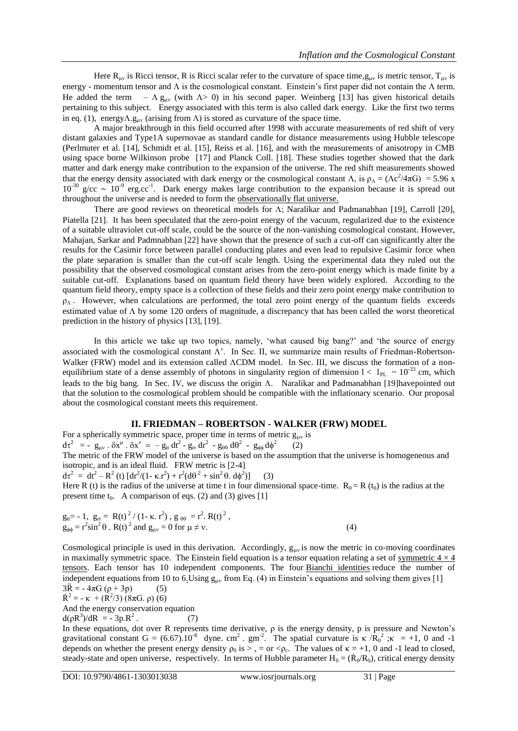Here  $R_{uv}$  is Ricci tensor, R is Ricci scalar refer to the curvature of space time,  $g_{uv}$  is metric tensor,  $T_{uv}$  is energy - momentum tensor and  $\Lambda$  is the cosmological constant. Einstein's first paper did not contain the  $\Lambda$  term. He added the term –  $\Lambda$  g<sub>uv</sub> (with  $\Lambda$ > 0) in his second paper. Weinberg [13] has given historical details pertaining to this subject. Energy associated with this term is also called dark energy. Like the first two terms in eq. (1), energy  $\Lambda$ ,  $g_{\mu\nu}$  (arising from  $\Lambda$ ) is stored as curvature of the space time.

A major breakthrough in this field occurred after 1998 with accurate measurements of red shift of very distant galaxies and Type1A supernovae as standard candle for distance measurements using Hubble telescope (Perlmuter et al. [14], Schmidt et al. [15], Reiss et al. [16], and with the measurements of anisotropy in CMB using space borne Wilkinson probe [17] and Planck Coll. [18]. These studies together showed that the dark matter and dark energy make contribution to the expansion of the universe. The red shift measurements showed that the energy density associated with dark energy or the cosmological constant  $\Lambda$ , is  $\rho_{\Lambda} = (\Lambda c^2/4\pi G) = 5.96$  x  $10^{-30}$  g/cc  $\sim 10^{-9}$  erg.cc<sup>-1</sup>. Dark energy makes large contribution to the expansion because it is spread out throughout the universe and is needed to form the [observationally flat universe.](https://en.wikipedia.org/wiki/Observationally_flat_universe)

There are good reviews on theoretical models for  $\Lambda$ ; Naralikar and Padmanabhan [19], Carroll [20], Piatella [21]. It has been speculated that the zero-point energy of the vacuum, regularized due to the existence of a suitable ultraviolet cut-off scale, could be the source of the non-vanishing cosmological constant. However, Mahajan, Sarkar and Padmnabhan [22] have shown that the presence of such a cut-off can significantly alter the results for the Casimir force between parallel conducting plates and even lead to repulsive Casimir force when the plate separation is smaller than the cut-off scale length. Using the experimental data they ruled out the possibility that the observed cosmological constant arises from the zero-point energy which is made finite by a suitable cut-off. Explanations based on quantum field theory have been widely explored. According to the quantum field theory, empty space is a collection of these fields and their zero point energy make contribution to  $\rho_{\Lambda}$ . However, when calculations are performed, the total zero point energy of the quantum fields exceeds estimated value of  $\Lambda$  by some 120 orders of magnitude, a discrepancy that has been called the worst theoretical prediction in the history of physics [13], [19].

In this article we take up two topics, namely, "what caused big bang?" and "the source of energy associated with the cosmological constant  $\Lambda'$ . In Sec. II, we summarize main results of Friedman-Robertson-Walker (FRW) model and its extension called ACDM model. In Sec. III, we discuss the formation of a nonequilibrium state of a dense assembly of photons in singularity region of dimension  $1 < 1_{PL} \sim 10^{-33}$  cm, which leads to the big bang. In Sec. IV, we discuss the origin  $\Lambda$ . Naralikar and Padmanabhan [19]havepointed out that the solution to the cosmological problem should be compatible with the inflationary scenario. Our proposal about the cosmological constant meets this requirement.

## **II. FRIEDMAN – ROBERTSON - WALKER (FRW) MODEL**

For a spherically symmetric space, proper time in terms of metric  $g_{\mu\nu}$  is  $d\tau^2 = - g_{\mu\nu} \cdot \delta x^{\mu} \cdot \delta x^{\nu} = - g_{tt} dt^2 - g_{rr} dr^2 - g_{\theta\theta} d\theta^2 - g_{\phi\phi} d\phi^2$ (2)

The metric of the FRW model of the universe is based on the assumption that the universe is homogeneous and isotropic, and is an ideal fluid. FRW metric is [2-4]

d $\tau^2 = dt^2 - R^2$  (t)  $[dr^2/(1 - \kappa \cdot r^2) + r^2 (d\theta^2 + \sin^2 \theta \cdot d\phi^2)]$  $(3)$ 

Here R (t) is the radius of the universe at time t in four dimensional space-time.  $R_0 = R(t_0)$  is the radius at the present time  $t_0$ . A comparison of eqs. (2) and (3) gives [1]

$$
g_{tt} = -1, g_{rr} = R(t)^{2} / (1 - \kappa r^{2}), g_{\theta\theta} = r^{2}. R(t)^{2}, g_{\phi\phi} = r^{2} \sin^{2} \theta . R(t)^{2} \text{ and } g_{\mu\nu} = 0 \text{ for } \mu \neq \nu.
$$
 (4)

Cosmological principle is used in this derivation. Accordingly,  $g_{uv}$  is now the metric in co-moving coordinates in maximally symmetric space. The Einstein field equation is a tensor equation relating a set of symmetric  $4 \times 4$ [tensors.](https://en.wikipedia.org/wiki/Symmetric_tensor) Each tensor has 10 independent components. The four **[Bianchi identities](https://en.wikipedia.org/wiki/Bianchi_identities)** reduce the number of independent equations from 10 to 6. Using  $g_{\mu\nu}$  from Eq. (4) in Einstein's equations and solving them gives [1]  $3\ddot{R} = -4\pi G (\rho + 3p)$  (5)

$$
\dot{R}^2 = -\kappa + (\dot{R}^2/3) (8\pi G \cdot \rho) (6)
$$

And the energy conservation equation

 $d(\rho R^3)/dR = -3p.R^2$ . (7)

In these equations, dot over R represents time derivative,  $\rho$  is the energy density, p is pressure and Newton's gravitational constant G = (6.67).10<sup>-8</sup> dyne. cm<sup>2</sup>. gm<sup>-2</sup>. The spatial curvature is  $\kappa /R_0^2$ ;  $\kappa$  = +1, 0 and -1 depends on whether the present energy density  $\rho_0$  is  $>$ , = or  $\langle \rho_c$ . The values of  $\kappa = +1$ , 0 and -1 lead to closed, steady-state and open universe, respectively. In terms of Hubble parameter  $H_0 = (\dot{R}_0/R_0)$ , critical energy density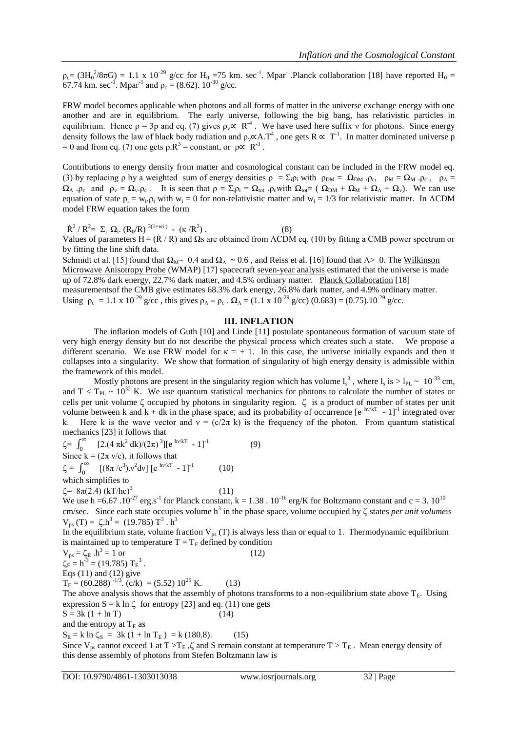$\rho_c = (3H_0^2/8\pi G) = 1.1 \times 10^{-29}$  g/cc for  $H_0 = 75$  km. sec<sup>-1</sup>. Mpar<sup>-1</sup>. Planck collaboration [18] have reported  $H_0 =$ 67.74 km. sec<sup>-1</sup>. Mpar<sup>-1</sup> and  $\rho_c = (8.62)$ . 10<sup>-30</sup> g/cc.

FRW model becomes applicable when photons and all forms of matter in the universe exchange energy with one another and are in equilibrium. The early universe, following the big bang, has relativistic particles in equilibrium. Hence  $p = 3p$  and eq. (7) gives  $p_v \propto R^{-4}$ . We have used here suffix v for photons. Since energy density follows the law of black body radiation and  $\rho_v \propto A.T^4$ , one gets  $R \propto T^{-1}$ . In matter dominated universe p = 0 and from eq. (7) one gets  $\rho$ .  $R^3$  = constant, or  $\rho \propto R^{-3}$ .

Contributions to energy density from matter and cosmological constant can be included in the FRW model eq. (3) by replacing  $\rho$  by a weighted sum of energy densities  $\rho = \Sigma_i \rho_i$  with  $\rho_{DM} = \Omega_{DM} \cdot \rho_c$ ,  $\rho_M = \Omega_M \cdot \rho_c$ ,  $\rho_A = \Omega$  $\Omega_{\Lambda}$  .  $\rho_c$  and  $\rho_v = \Omega_v$   $\rho_c$ . It is seen that  $\rho = \Sigma_i \rho_i = \Omega_{tot}$  .  $\rho_c$  with  $\Omega_{tot} = (\Omega_{DM} + \Omega_M + \Omega_A + \Omega_v)$ . We can use equation of state  $p_i = w_i \cdot \rho_i$  with  $w_i = 0$  for non-relativistic matter and  $w_i = 1/3$  for relativistic matter. In ACDM model FRW equation takes the form

 $\dot{R}^2 / R^2 = \Sigma_i \Omega_i$ .  $(R_0/R)^{3(1+wi)}$  -  $(\kappa/R^2)$  $(8)$ 

Values of parameters  $H = (\dot{R}/R)$  and  $\Omega$ s are obtained from ΛCDM eq. (10) by fitting a CMB power spectrum or by fitting the line shift data.

Schmidt et al. [15] found that  $\Omega_{\rm M} \sim 0.4$  and  $\Omega_{\rm A} \sim 0.6$ , and Reiss et al. [16] found that  $\Lambda > 0$ . The Wilkinson [Microwave Anisotropy Probe](https://en.wikipedia.org/wiki/Wilkinson_Microwave_Anisotropy_Probe) (WMAP) [17] spacecraft [seven-year analysis](https://en.wikipedia.org/wiki/Wilkinson_Microwave_Anisotropy_Probe#Seven-year_data_release) estimated that the universe is made up of 72.8% dark energy, 22.7% dark matter, and 4.5% ordinary matter. [Planck Collaboration](https://en.wikipedia.org/wiki/Planck_spacecraft) [18] measurementsof the CMB give estimates 68.3% dark energy, 26.8% dark matter, and 4.9% ordinary matter. Using  $\rho_c = 1.1 \times 10^{-29}$  g/cc, this gives  $\rho_A = \rho_c$ .  $\Omega_A = (1.1 \times 10^{-29}$  g/cc)  $(0.683) = (0.75) . 10^{-29}$  g/cc.

# **III. INFLATION**

The inflation models of Guth [10] and Linde [11] postulate spontaneous formation of vacuum state of very high energy density but do not describe the physical process which creates such a state. We propose a different scenario. We use FRW model for  $\kappa = +1$ . In this case, the universe initially expands and then it collapses into a singularity. We show that formation of singularity of high energy density is admissible within the framework of this model.

Mostly photons are present in the singularity region which has volume  $l_s^3$ , where  $l_s$  is  $> l_{PL} \sim 10^{-33}$  cm, and  $T < T_{PL} \sim 10^{32}$  K. We use quantum statistical mechanics for photons to calculate the number of states or cells per unit volume  $\zeta$  occupied by photons in singularity region.  $\zeta$  is a product of number of states per unit volume between k and  $k + dk$  in the phase space, and its probability of occurrence [e  $^{h\nu kT}$  - 1]<sup>-1</sup> integrated over k. Here k is the wave vector and  $v = (c/2\pi k)$  is the frequency of the photon. From quantum statistical mechanics [23] it follows that

 $\zeta = \int_0^\infty$ <sup>nos</sup> [2.(4 πk<sup>2</sup> dk)/(2π)<sup>3</sup>][e<sup>hv/kT</sup> - 1]<sup>-1</sup> (9) Since  $k = (2\pi v/c)$ , it follows that  $\zeta = \int_0^\infty$  $\int_{0}^{\infty}$  [(8 $\pi$  /c<sup>3</sup>). $v^2$ dv] [e<sup>hv/kT</sup> - 1]<sup>-1</sup> (10) which simplifies to  $\zeta = 8\pi(2.4)$  (kT/hc)<sup>3</sup> (11) We use h =6.67 .10<sup>-27</sup> erg.s<sup>-1</sup> for Planck constant, k = 1.38 .10<sup>-16</sup> erg/K for Boltzmann constant and c = 3.10<sup>10</sup> cm/sec. Since each state occupies volume  $h^3$  in the phase space, volume occupied by  $\zeta$  states *per unit volumeis*  $V_{ps}$  (T) =  $\zeta.h^3 = (19.785) T^3 \cdot h^3$ In the equilibrium state, volume fraction  $V_{ps} (T)$  is always less than or equal to 1. Thermodynamic equilibrium is maintained up to temperature  $T = T_E$  defined by condition  $V_{ps} = \zeta_E \cdot h^3 = 1 \text{ or }$  (12)  $\zeta_{\rm E} = h^{-3} = (19.785) {\rm T_{\rm E}}^{3}$ . Eqs  $(11)$  and  $(12)$  give  $T_{\rm E}$  = (60.288)<sup>-1/3</sup>. (c/k) = (5.52) 10<sup>25</sup> K. (13) The above analysis shows that the assembly of photons transforms to a non-equilibrium state above  $T_E$ . Using expression  $S = k \ln \zeta$  for entropy [23] and eq. (11) one gets  $S = 3k (1 + ln T)$  (14) and the entropy at  $T_E$  as  $S_E = k \ln \zeta_S = 3k (1 + \ln T_E) = k (180.8).$  (15)

Since  $V_{ps}$  cannot exceed 1 at T >T<sub>E</sub>,  $\zeta$  and S remain constant at temperature T > T<sub>E</sub>. Mean energy density of this dense assembly of photons from Stefen Boltzmann law is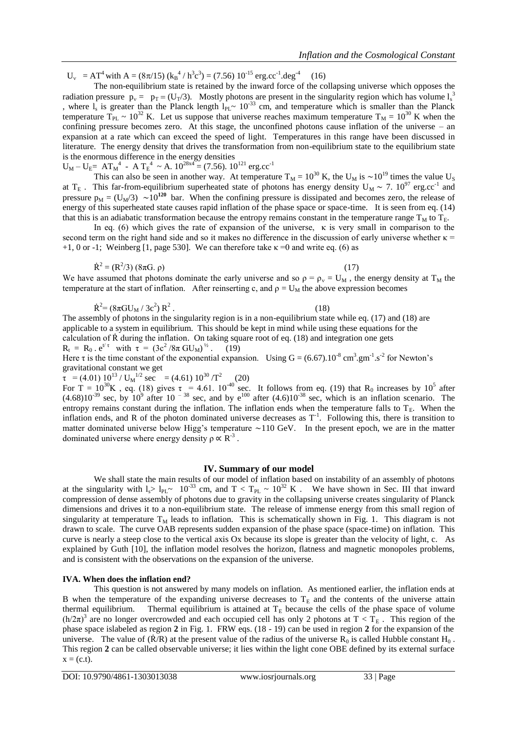$U_v = AT^4$  with  $A = (8\pi/15) (k_B^4 / h^3 c^3) = (7.56) 10^{-15} erg.cc^{-1}.deg^{-4}$  (16)

The non-equilibrium state is retained by the inward force of the collapsing universe which opposes the radiation pressure  $p_v = p_T = (U_T/3)$ . Mostly photons are present in the singularity region which has volume  $l_s^3$ , where  $l_s$  is greater than the Planck length  $l_{PL}$ ~ 10<sup>-33</sup> cm, and temperature which is smaller than the Planck temperature  $T_{PL} \sim 10^{32}$  K. Let us suppose that universe reaches maximum temperature  $T_M = 10^{30}$  K when the confining pressure becomes zero. At this stage, the unconfined photons cause inflation of the universe – an expansion at a rate which can exceed the speed of light. Temperatures in this range have been discussed in literature. The energy density that drives the transformation from non-equilibrium state to the equilibrium state is the enormous difference in the energy densities

$$
U_M - U_E = AT_M^4 - AT_E^4 \sim A. 10^{28x} = (7.56). 10^{121} \text{ erg. cc}^{-1}
$$

This can also be seen in another way. At temperature  $T_M = 10^{30}$  K, the U<sub>M</sub> is  $\sim 10^{19}$  times the value U<sub>S</sub> at T<sub>E</sub>. This far-from-equilibrium superheated state of photons has energy density  $U_M \sim 7. 10^{97}$  erg.cc<sup>-1</sup> and pressure  $p_M = (U_M/3) \sim 10^{120}$  bar. When the confining pressure is dissipated and becomes zero, the release of energy of this superheated state causes rapid inflation of the phase space or space-time. It is seen from eq. (14) that this is an adiabatic transformation because the entropy remains constant in the temperature range  $T_M$  to  $T_E$ .

In eq. (6) which gives the rate of expansion of the universe,  $\kappa$  is very small in comparison to the second term on the right hand side and so it makes no difference in the discussion of early universe whether  $\kappa$  = +1, 0 or -1; Weinberg [1, page 530]. We can therefore take  $\kappa = 0$  and write eq. (6) as

$$
\dot{\mathbf{R}}^2 = (\mathbf{R}^2/3) (8\pi \mathbf{G}, \rho) \tag{17}
$$

We have assumed that photons dominate the early universe and so  $\rho = \rho_v = U_M$ , the energy density at T<sub>M</sub> the temperature at the start of inflation. After reinserting c, and  $\rho = U_M$  the above expression becomes

$$
\dot{R}^2 = (8\pi G U_M / 3c^2) R^2.
$$
 (18)

The assembly of photons in the singularity region is in a non-equilibrium state while eq. (17) and (18) are applicable to a system in equilibrium. This should be kept in mind while using these equations for the calculation of  $\dot{R}$  during the inflation. On taking square root of eq. (18) and integration one gets  $R_t = R_0 \cdot e^{t/\tau}$  with  $\tau = (3c^2/8\pi \text{ GU}_M)^{1/2}$ . (19)

Here  $\tau$  is the time constant of the exponential expansion. Using  $G = (6.67) . 10^{-8}$  cm<sup>3</sup> gm<sup>-1</sup> s<sup>-2</sup> for Newton's gravitational constant we get

 $\tau$  = (4.01) 10<sup>13</sup> / U<sub>M</sub><sup>1/2</sup> sec = (4.61) 10<sup>30</sup> /T<sup>2</sup> (20)

For T =  $10^{30}$ K, eq. (18) gives  $\tau = 4.61$ .  $10^{-40}$  sec. It follows from eq. (19) that R<sub>0</sub> increases by 10<sup>5</sup> after  $(4.68)10^{-39}$  sec, by  $10^9$  after 10  $^{-38}$  sec, and by e<sup>100</sup> after  $(4.6)10^{-38}$  sec, which is an inflation scenario. The entropy remains constant during the inflation. The inflation ends when the temperature falls to  $T_E$ . When the inflation ends, and R of the photon dominated universe decreases as  $T^{-1}$ . Following this, there is transition to matter dominated universe below Higg's temperature  $\sim$ 110 GeV. In the present epoch, we are in the matter dominated universe where energy density  $\rho \propto R^{-3}$ .

### **IV. Summary of our model**

We shall state the main results of our model of inflation based on instability of an assembly of photons at the singularity with  $l_s$  l<sub>PL</sub>  $\sim 10^{-33}$  cm, and T < T<sub>PL</sub>  $\sim 10^{32}$  K. We have shown in Sec. III that inward compression of dense assembly of photons due to gravity in the collapsing universe creates singularity of Planck dimensions and drives it to a non-equilibrium state. The release of immense energy from this small region of singularity at temperature  $T_M$  leads to inflation. This is schematically shown in Fig. 1. This diagram is not drawn to scale. The curve OAB represents sudden expansion of the phase space (space-time) on inflation. This curve is nearly a steep close to the vertical axis Ox because its slope is greater than the velocity of light, c. As explained by Guth [10], the inflation model resolves the horizon, flatness and magnetic monopoles problems, and is consistent with the observations on the expansion of the universe.

### **IVA. When does the inflation end?**

This question is not answered by many models on inflation. As mentioned earlier, the inflation ends at B when the temperature of the expanding universe decreases to  $T_E$  and the contents of the universe attain thermal equilibrium. Thermal equilibrium is attained at  $T_E$  because the cells of the phase space of volume  $(h/2\pi)^3$  are no longer overcrowded and each occupied cell has only 2 photons at  $T < T_E$ . This region of the phase space islabeled as region **2** in Fig. 1. FRW eqs. (18 - 19) can be used in region **2** for the expansion of the universe. The value of  $(\dot{R}/R)$  at the present value of the radius of the universe  $R_0$  is called Hubble constant  $H_0$ . This region **2** can be called observable universe; it lies within the light cone OBE defined by its external surface  $x = (c.t).$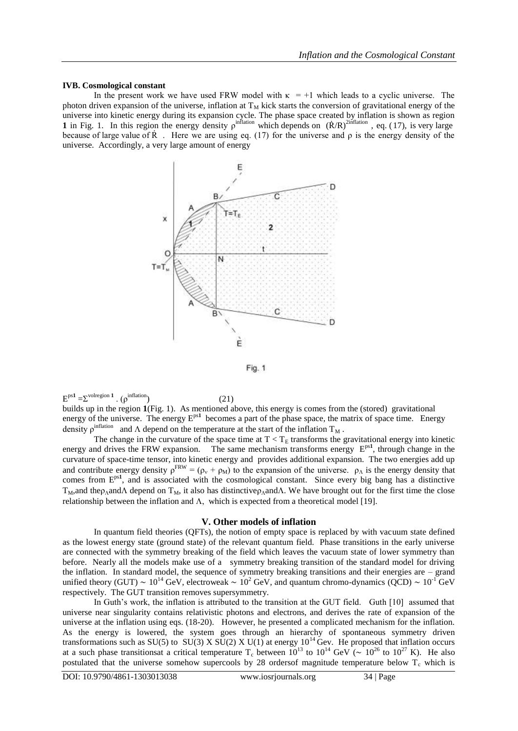## **IVB. Cosmological constant**

In the present work we have used FRW model with  $\kappa = +1$  which leads to a cyclic universe. The photon driven expansion of the universe, inflation at  $T_M$  kick starts the conversion of gravitational energy of the universe into kinetic energy during its expansion cycle. The phase space created by inflation is shown as region **1** in Fig. 1. In this region the energy density  $\rho^{\text{inflation}}$  which depends on  $(\dot{R}/R)^{2\text{inflation}}$ , eq. (17), is very large because of large value of  $\dot{R}$ . Here we are using eq. (17) for the universe and  $\rho$  is the energy density of the universe. Accordingly, a very large amount of energy





 $E^{ps1} = \sum^{\text{volregion 1}} \cdot (\rho^{\text{inflation}})$  (21)

builds up in the region **1**(Fig. 1). As mentioned above, this energy is comes from the (stored) gravitational energy of the universe. The energy  $E^{ps1}$  becomes a part of the phase space, the matrix of space time. Energy density  $\rho^{\text{inflation}}$  and  $\Lambda$  depend on the temperature at the start of the inflation  $T_M$ .

The change in the curvature of the space time at  $T < T_E$  transforms the gravitational energy into kinetic energy and drives the FRW expansion. The same mechanism transforms energy  $E^{ps1}$ , through change in the curvature of space-time tensor, into kinetic energy and provides additional expansion. The two energies add up and contribute energy density  $\rho^{FRW} = (\rho_v + \rho_M)$  to the expansion of the universe.  $\rho_\Lambda$  is the energy density that comes from E<sup>ps1</sup>, and is associated with the cosmological constant. Since every big bang has a distinctive  $T_M$ , and the  $\rho_A$  and  $\Lambda$  depend on  $T_M$ , it also has distinctive  $\rho_A$  and  $\Lambda$ . We have brought out for the first time the close relationship between the inflation and  $\Lambda$ , which is expected from a theoretical model [19].

## **V. Other models of inflation**

In quantum field theories (QFTs), the notion of empty space is replaced by with vacuum state defined as the lowest energy state (ground state) of the relevant quantum field. Phase transitions in the early universe are connected with the symmetry breaking of the field which leaves the vacuum state of lower symmetry than before. Nearly all the models make use of a symmetry breaking transition of the standard model for driving the inflation. In standard model, the sequence of symmetry breaking transitions and their energies are – grand unified theory (GUT) ~  $10^{14}$  GeV, electroweak ~  $10^2$  GeV, and quantum chromo-dynamics (QCD) ~  $10^{-1}$  GeV respectively. The GUT transition removes supersymmetry.

In Guth's work, the inflation is attributed to the transition at the GUT field. Guth [10] assumed that universe near singularity contains relativistic photons and electrons, and derives the rate of expansion of the universe at the inflation using eqs. (18-20). However, he presented a complicated mechanism for the inflation. As the energy is lowered, the system goes through an hierarchy of spontaneous symmetry driven transformations such as SU(5) to SU(3) X SU(2) X U(1) at energy  $10^{14}$  Gev. He proposed that inflation occurs at a such phase transitionsat a critical temperature T<sub>c</sub> between  $10^{13}$  to  $10^{14}$  GeV ( $\sim 10^{26}$  to  $10^{27}$  K). He also postulated that the universe somehow supercools by 28 ordersof magnitude temperature below  $T_c$  which is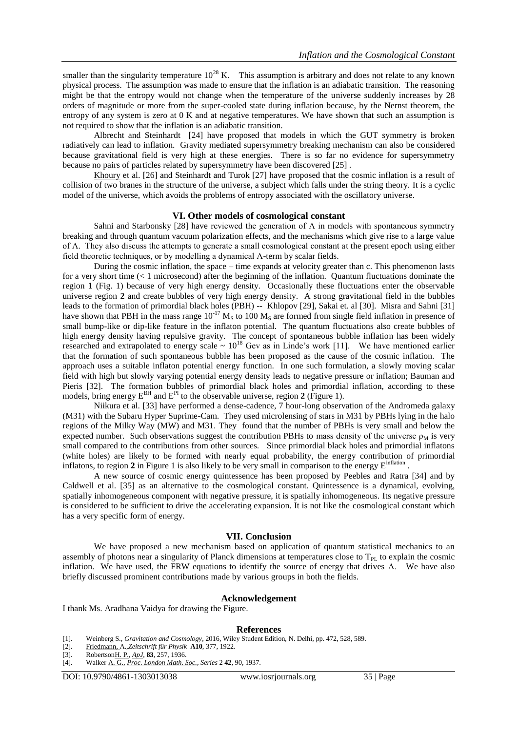smaller than the singularity temperature  $10^{28}$  K. This assumption is arbitrary and does not relate to any known physical process. The assumption was made to ensure that the inflation is an adiabatic transition. The reasoning might be that the entropy would not change when the temperature of the universe suddenly increases by 28 orders of magnitude or more from the super-cooled state during inflation because, by the Nernst theorem, the entropy of any system is zero at 0 K and at negative temperatures. We have shown that such an assumption is not required to show that the inflation is an adiabatic transition.

Albrecht and Steinhardt [24] have proposed that models in which the GUT symmetry is broken radiatively can lead to inflation. Gravity mediated supersymmetry breaking mechanism can also be considered because gravitational field is very high at these energies. There is so far no evidence for supersymmetry because no pairs of particles related by supersymmetry have been discovered [25] .

[Khoury](https://arxiv.org/search/hep-th?searchtype=author&query=Khoury%2C+J) et al. [26] and Steinhardt and Turok [27] have proposed that the cosmic inflation is a result of collision of two branes in the structure of the universe, a subject which falls under the string theory. It is a cyclic model of the universe, which avoids the problems of entropy associated with the oscillatory universe.

## **VI. Other models of cosmological constant**

Sahni and Starbonsky [28] have reviewed the generation of  $\Lambda$  in models with spontaneous symmetry breaking and through quantum vacuum polarization effects, and the mechanisms which give rise to a large value of Λ. They also discuss the attempts to generate a small cosmological constant at the present epoch using either field theoretic techniques, or by modelling a dynamical Λ-term by scalar fields.

During the cosmic inflation, the space – time expands at velocity greater than c. This phenomenon lasts for a very short time  $(< 1$  microsecond) after the beginning of the inflation. Quantum fluctuations dominate the region **1** (Fig. 1) because of very high energy density. Occasionally these fluctuations enter the observable universe region **2** and create bubbles of very high energy density. A strong gravitational field in the bubbles leads to the formation of primordial black holes (PBH) -- Khlopov [29], Sakai et. al [30]. Misra and Sahni [31] have shown that PBH in the mass range  $10^{-17}$  M<sub>S</sub> to 100 M<sub>S</sub> are formed from single field inflation in presence of small bump-like or dip-like feature in the inflaton potential. The quantum fluctuations also create bubbles of high energy density having repulsive gravity. The concept of spontaneous bubble inflation has been widely researched and extrapolated to energy scale  $\sim 10^{18}$  Gev as in Linde's work [11]. We have mentioned earlier that the formation of such spontaneous bubble has been proposed as the cause of the cosmic inflation. The approach uses a suitable inflaton potential energy function. In one such formulation, a slowly moving scalar field with high but slowly varying potential energy density leads to negative pressure or inflation; Bauman and Pieris [32]. The formation bubbles of primordial black holes and primordial inflation, according to these models, bring energy  $E^{BH}$  and  $E^{PI}$  to the observable universe, region 2 (Figure 1).

Niikura et al. [33] have performed a dense-cadence, 7 hour-long observation of the Andromeda galaxy (M31) with the Subaru Hyper Suprime-Cam. They used microlensing of stars in M31 by PBHs lying in the halo regions of the Milky Way (MW) and M31. They found that the number of PBHs is very small and below the expected number. Such observations suggest the contribution PBHs to mass density of the universe  $\rho_M$  is very small compared to the contributions from other sources. Since primordial black holes and primordial inflatons (white holes) are likely to be formed with nearly equal probability, the energy contribution of primordial inflatons, to region 2 in Figure 1 is also likely to be very small in comparison to the energy E<sup>inflation</sup>.

A new source of cosmic energy quintessence has been proposed by Peebles and Ratra [34] and by Caldwell et al. [35] as an alternative to the cosmological constant. Quintessence is a dynamical, evolving, spatially inhomogeneous component with negative pressure, it is spatially inhomogeneous. Its negative pressure is considered to be sufficient to drive the accelerating expansion. It is not like the cosmological constant which has a very specific form of energy.

## **VII. Conclusion**

We have proposed a new mechanism based on application of quantum statistical mechanics to an assembly of photons near a singularity of Planck dimensions at temperatures close to  $T_{PI}$  to explain the cosmic inflation. We have used, the FRW equations to identify the source of energy that drives Λ. We have also briefly discussed prominent contributions made by various groups in both the fields.

#### **Acknowledgement**

I thank Ms. Aradhana Vaidya for drawing the Figure.

#### **References**

- [1]. Weinberg S., *Gravitation and Cosmology*, 2016, Wiley Student Edition, N. Delhi, pp. 472, 528, 589.
- [2]. [Friedmann, A](https://en.wikipedia.org/wiki/Alexander_Friedmann).,*Zeitschrift für Physik* **A10**, 377, 1922.
- [3]. Robertso[nH. P.,](https://en.wikipedia.org/wiki/Howard_P._Robertson) *[ApJ](https://en.wikipedia.org/wiki/Astrophysical_Journal)*, **83**, 257, 1936.
- [4]. Walke[r A. G.,](https://en.wikipedia.org/wiki/Arthur_Geoffrey_Walker) *[Proc. London Math. Soc.,](https://en.wikipedia.org/wiki/Proceedings_of_the_London_Mathematical_Society) Series* 2 **42**, 90, 1937.